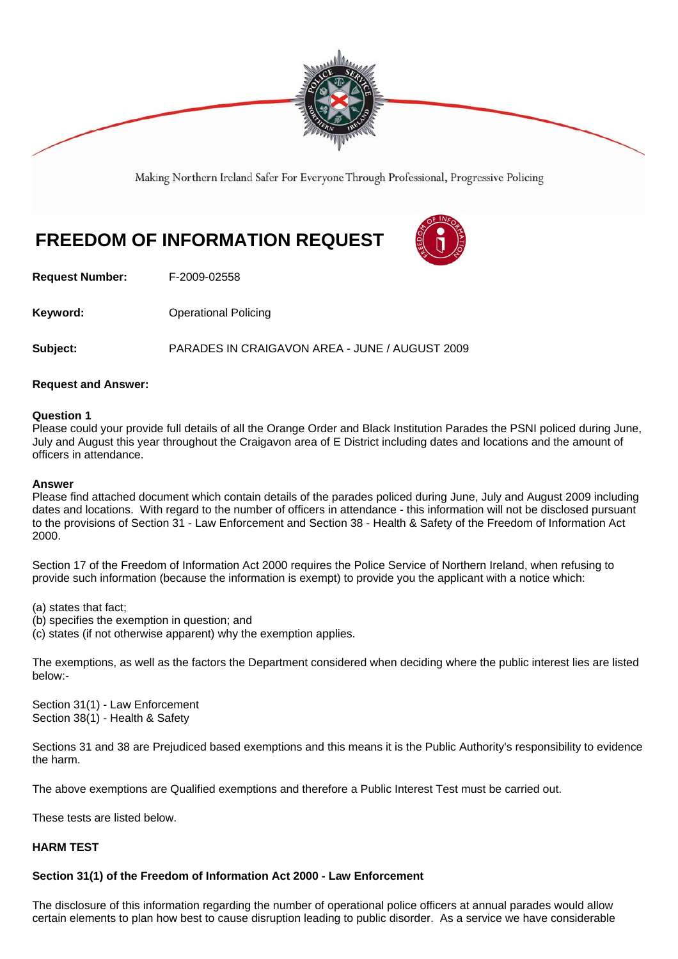

Making Northern Ireland Safer For Everyone Through Professional, Progressive Policing

# **FREEDOM OF INFORMATION REQUEST**



**Request Number:** F-2009-02558

**Keyword: Conservery Operational Policing** 

**Subject:** PARADES IN CRAIGAVON AREA - JUNE / AUGUST 2009

# **Request and Answer:**

# **Question 1**

Please could your provide full details of all the Orange Order and Black Institution Parades the PSNI policed during June, July and August this year throughout the Craigavon area of E District including dates and locations and the amount of officers in attendance.

#### **Answer**

Please find attached document which contain details of the parades policed during June, July and August 2009 including dates and locations. With regard to the number of officers in attendance - this information will not be disclosed pursuant to the provisions of Section 31 - Law Enforcement and Section 38 - Health & Safety of the Freedom of Information Act 2000.

Section 17 of the Freedom of Information Act 2000 requires the Police Service of Northern Ireland, when refusing to provide such information (because the information is exempt) to provide you the applicant with a notice which:

(a) states that fact;

- (b) specifies the exemption in question; and
- (c) states (if not otherwise apparent) why the exemption applies.

The exemptions, as well as the factors the Department considered when deciding where the public interest lies are listed below:-

Section 31(1) - Law Enforcement Section 38(1) - Health & Safety

Sections 31 and 38 are Prejudiced based exemptions and this means it is the Public Authority's responsibility to evidence the harm.

The above exemptions are Qualified exemptions and therefore a Public Interest Test must be carried out.

These tests are listed below.

# **HARM TEST**

# **Section 31(1) of the Freedom of Information Act 2000 - Law Enforcement**

The disclosure of this information regarding the number of operational police officers at annual parades would allow certain elements to plan how best to cause disruption leading to public disorder. As a service we have considerable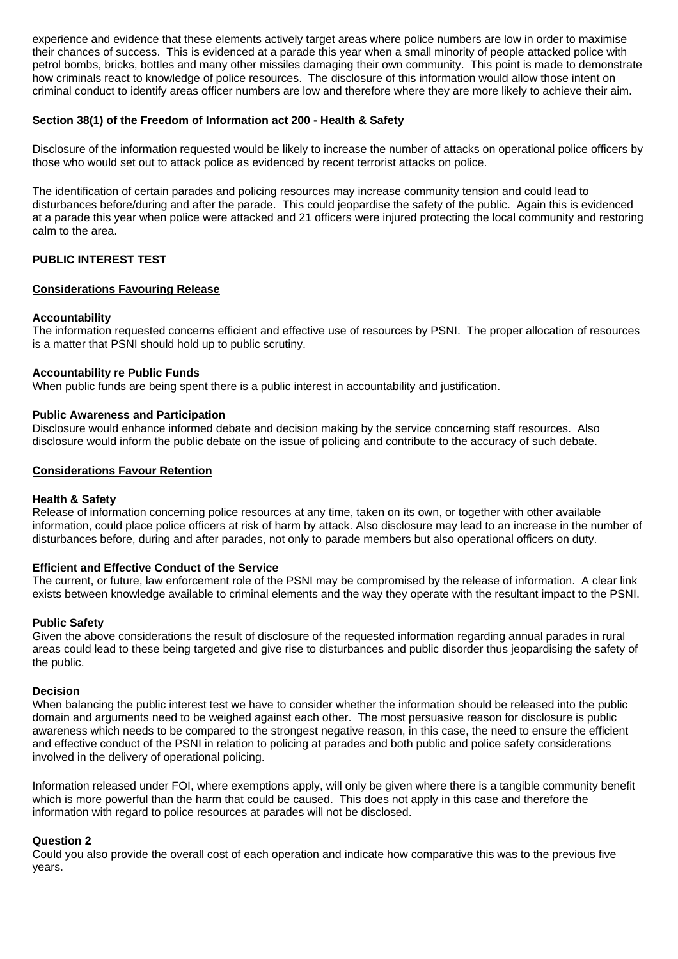experience and evidence that these elements actively target areas where police numbers are low in order to maximise their chances of success. This is evidenced at a parade this year when a small minority of people attacked police with petrol bombs, bricks, bottles and many other missiles damaging their own community. This point is made to demonstrate how criminals react to knowledge of police resources. The disclosure of this information would allow those intent on criminal conduct to identify areas officer numbers are low and therefore where they are more likely to achieve their aim.

# **Section 38(1) of the Freedom of Information act 200 - Health & Safety**

Disclosure of the information requested would be likely to increase the number of attacks on operational police officers by those who would set out to attack police as evidenced by recent terrorist attacks on police.

The identification of certain parades and policing resources may increase community tension and could lead to disturbances before/during and after the parade. This could jeopardise the safety of the public. Again this is evidenced at a parade this year when police were attacked and 21 officers were injured protecting the local community and restoring calm to the area.

# **PUBLIC INTEREST TEST**

# **Considerations Favouring Release**

#### **Accountability**

The information requested concerns efficient and effective use of resources by PSNI. The proper allocation of resources is a matter that PSNI should hold up to public scrutiny.

#### **Accountability re Public Funds**

When public funds are being spent there is a public interest in accountability and justification.

# **Public Awareness and Participation**

Disclosure would enhance informed debate and decision making by the service concerning staff resources. Also disclosure would inform the public debate on the issue of policing and contribute to the accuracy of such debate.

#### **Considerations Favour Retention**

#### **Health & Safety**

Release of information concerning police resources at any time, taken on its own, or together with other available information, could place police officers at risk of harm by attack. Also disclosure may lead to an increase in the number of disturbances before, during and after parades, not only to parade members but also operational officers on duty.

#### **Efficient and Effective Conduct of the Service**

The current, or future, law enforcement role of the PSNI may be compromised by the release of information. A clear link exists between knowledge available to criminal elements and the way they operate with the resultant impact to the PSNI.

#### **Public Safety**

Given the above considerations the result of disclosure of the requested information regarding annual parades in rural areas could lead to these being targeted and give rise to disturbances and public disorder thus jeopardising the safety of the public.

#### **Decision**

When balancing the public interest test we have to consider whether the information should be released into the public domain and arguments need to be weighed against each other. The most persuasive reason for disclosure is public awareness which needs to be compared to the strongest negative reason, in this case, the need to ensure the efficient and effective conduct of the PSNI in relation to policing at parades and both public and police safety considerations involved in the delivery of operational policing.

Information released under FOI, where exemptions apply, will only be given where there is a tangible community benefit which is more powerful than the harm that could be caused. This does not apply in this case and therefore the information with regard to police resources at parades will not be disclosed.

#### **Question 2**

Could you also provide the overall cost of each operation and indicate how comparative this was to the previous five years.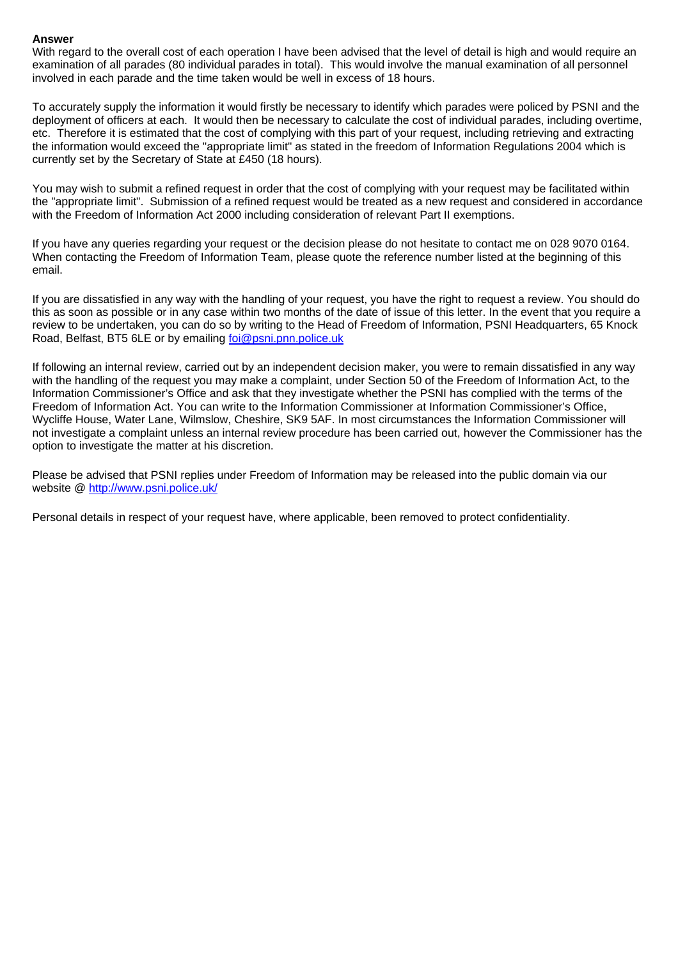# **Answer**

With regard to the overall cost of each operation I have been advised that the level of detail is high and would require an examination of all parades (80 individual parades in total). This would involve the manual examination of all personnel involved in each parade and the time taken would be well in excess of 18 hours.

To accurately supply the information it would firstly be necessary to identify which parades were policed by PSNI and the deployment of officers at each. It would then be necessary to calculate the cost of individual parades, including overtime, etc. Therefore it is estimated that the cost of complying with this part of your request, including retrieving and extracting the information would exceed the "appropriate limit" as stated in the freedom of Information Regulations 2004 which is currently set by the Secretary of State at £450 (18 hours).

You may wish to submit a refined request in order that the cost of complying with your request may be facilitated within the "appropriate limit". Submission of a refined request would be treated as a new request and considered in accordance with the Freedom of Information Act 2000 including consideration of relevant Part II exemptions.

If you have any queries regarding your request or the decision please do not hesitate to contact me on 028 9070 0164. When contacting the Freedom of Information Team, please quote the reference number listed at the beginning of this email.

If you are dissatisfied in any way with the handling of your request, you have the right to request a review. You should do this as soon as possible or in any case within two months of the date of issue of this letter. In the event that you require a review to be undertaken, you can do so by writing to the Head of Freedom of Information, PSNI Headquarters, 65 Knock Road, Belfast, BT5 6LE or by emailing foi@psni.pnn.police.uk

If following an internal review, carried out by an independent decision maker, you were to remain dissatisfied in any way with the handling of the request you may make a complaint, under Section 50 of the Freedom of Information Act, to the Information Commissioner's Office and ask that they investigate whether the PSNI has complied with the terms of the Freedom of Information Act. You can write to the Information Commissioner at Information Commissioner's Office, Wycliffe House, Water Lane, Wilmslow, Cheshire, SK9 5AF. In most circumstances the Information Commissioner will not investigate a complaint unless an internal review procedure has been carried out, however the Commissioner has the option to investigate the matter at his discretion.

Please be advised that PSNI replies under Freedom of Information may be released into the public domain via our website @ http://www.psni.police.uk/

Personal details in respect of your request have, where applicable, been removed to protect confidentiality.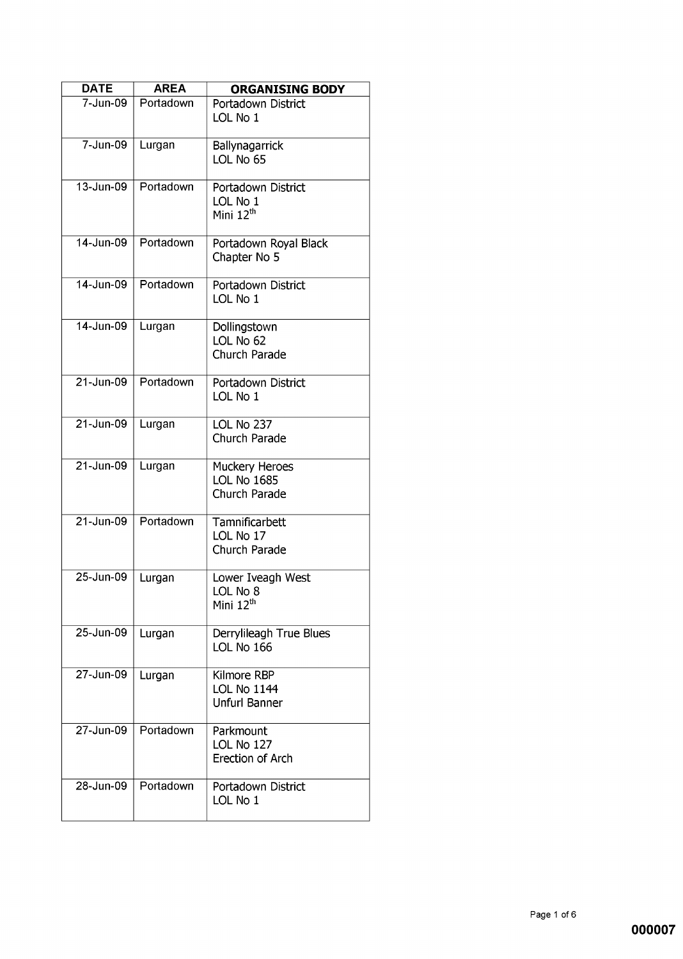| <b>DATE</b>   | <b>AREA</b> | <b>ORGANISING BODY</b>                                    |
|---------------|-------------|-----------------------------------------------------------|
| 7-Jun-09      | Portadown   | Portadown District<br>LOL No 1                            |
| 7-Jun-09      | Lurgan      | Ballynagarrick<br>LOL No 65                               |
| 13-Jun-09     | Portadown   | Portadown District<br>LOL No 1<br>Mini 12 <sup>th</sup>   |
| 14-Jun-09     | Portadown   | Portadown Royal Black<br>Chapter No 5                     |
| 14-Jun-09     | Portadown   | Portadown District<br>LOL No 1                            |
| 14-Jun-09     | Lurgan      | Dollingstown<br>LOL No 62<br>Church Parade                |
| 21-Jun-09     | Portadown   | Portadown District<br>LOL No 1                            |
| 21-Jun-09     | Lurgan      | LOL No 237<br>Church Parade                               |
| $21 - Jun-09$ | Lurgan      | Muckery Heroes<br><b>LOL No 1685</b><br>Church Parade     |
| $21 - Jun-09$ | Portadown   | Tamnificarbett<br>LOL No 17<br>Church Parade              |
| 25-Jun-09     | Lurgan      | Lower Iveagh West<br>LOL No 8<br>Mini $12th$              |
| $25$ -Jun-09  | Lurgan      | Derrylileagh True Blues<br>LOL No 166                     |
| 27-Jun-09     | Lurgan      | Kilmore RBP<br><b>LOL No 1144</b><br><b>Unfurl Banner</b> |
| 27-Jun-09     | Portadown   | Parkmount<br>LOL No 127<br>Erection of Arch               |
| 28-Jun-09     | Portadown   | Portadown District<br>LOL No 1                            |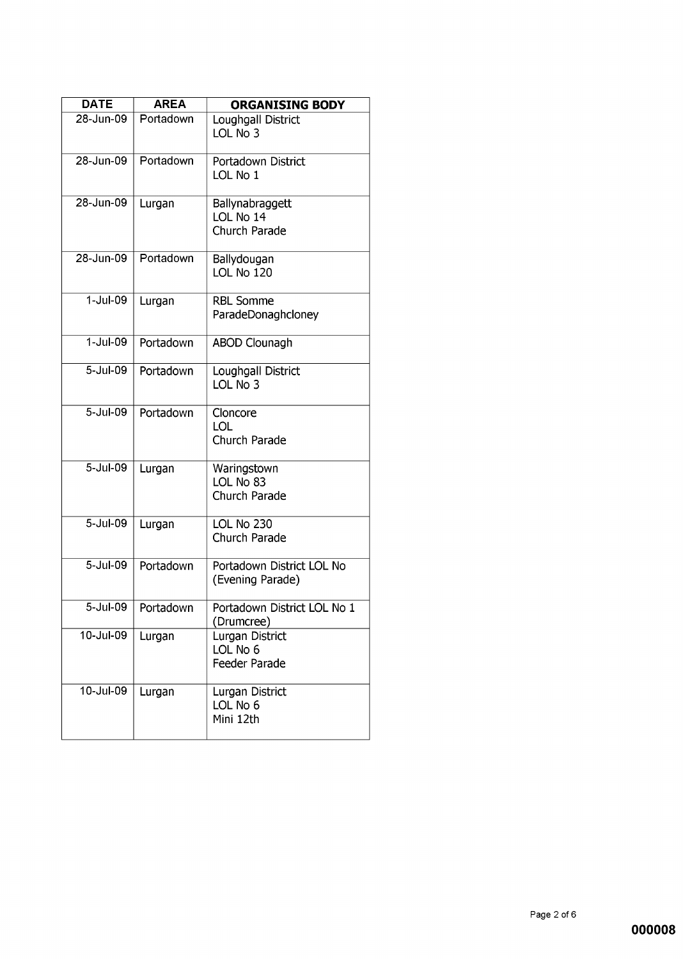| <b>DATE</b>   | <b>AREA</b> | <b>ORGANISING BODY</b>                        |
|---------------|-------------|-----------------------------------------------|
| 28-Jun-09     | Portadown   | Loughgall District<br>LOL No 3                |
| 28-Jun-09     | Portadown   | Portadown District<br>LOL No 1                |
| 28-Jun-09     | Lurgan      | Ballynabraggett<br>LOL No 14<br>Church Parade |
| 28-Jun-09     | Portadown   | Ballydougan<br>LOL No 120                     |
| $1-Jul-09$    | Lurgan      | <b>RBL Somme</b><br>ParadeDonaghcloney        |
| $1 -$ Jul-09  | Portadown   | <b>ABOD Clounagh</b>                          |
| 5-Jul-09      | Portadown   | Loughgall District<br>LOL No 3                |
| $5 -$ Jul-09  | Portadown   | Cloncore<br><b>LOL</b><br>Church Parade       |
| 5-Jul-09      | Lurgan      | Waringstown<br>LOL No 83<br>Church Parade     |
| 5-Jul-09      | Lurgan      | LOL No 230<br>Church Parade                   |
| 5-Jul-09      | Portadown   | Portadown District LOL No<br>(Evening Parade) |
| 5-Jul-09      | Portadown   | Portadown District LOL No 1<br>(Drumcree)     |
| $10 -$ Jul-09 | Lurgan      | Lurgan District<br>LOL No 6<br>Feeder Parade  |
| $10 -$ Jul-09 | Lurgan      | Lurgan District<br>LOL No 6<br>Mini 12th      |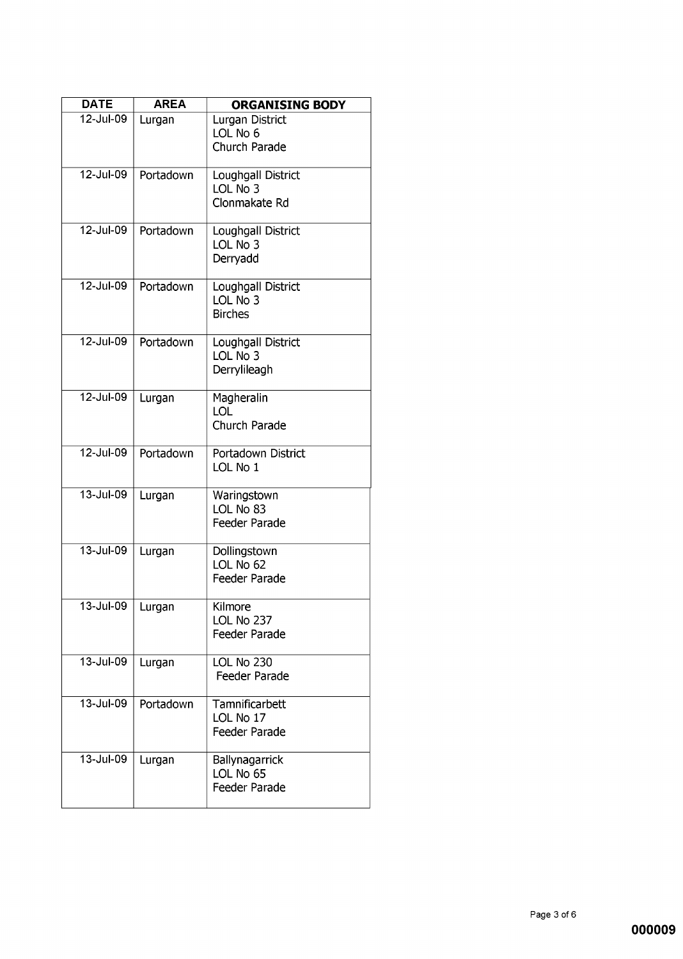| <b>DATE</b>             | <b>AREA</b> | <b>ORGANISING BODY</b>                           |
|-------------------------|-------------|--------------------------------------------------|
| 12-Jul-09               | Lurgan      | Lurgan District<br>LOL No 6<br>Church Parade     |
| 12-Jul-09               | Portadown   | Loughgall District<br>LOL No 3<br>Clonmakate Rd  |
| 12-Jul-09               | Portadown   | Loughgall District<br>LOL No 3<br>Derryadd       |
| 12-Jul-09               | Portadown   | Loughgall District<br>LOL No 3<br><b>Birches</b> |
| 12-Jul-09               | Portadown   | Loughgall District<br>LOL No 3<br>Derrylileagh   |
| 12-Jul-09               | Lurgan      | Magheralin<br>LOL<br>Church Parade               |
| 12-Jul-09               | Portadown   | Portadown District<br>LOL No 1                   |
| 13-Jul-09               | Lurgan      | Waringstown<br>LOL No 83<br>Feeder Parade        |
| $13 -$ Jul-09           | Lurgan      | Dollingstown<br>LOL No 62<br>Feeder Parade       |
| $\overline{13}$ -Jul-09 | Lurgan      | Kilmore<br>LOL No 237<br>Feeder Parade           |
| 13-Jul-09               | Lurgan      | LOL No 230<br>Feeder Parade                      |
| 13-Jul-09               | Portadown   | Tamnificarbett<br>LOL No 17<br>Feeder Parade     |
| 13-Jul-09               | Lurgan      | Ballynagarrick<br>LOL No 65<br>Feeder Parade     |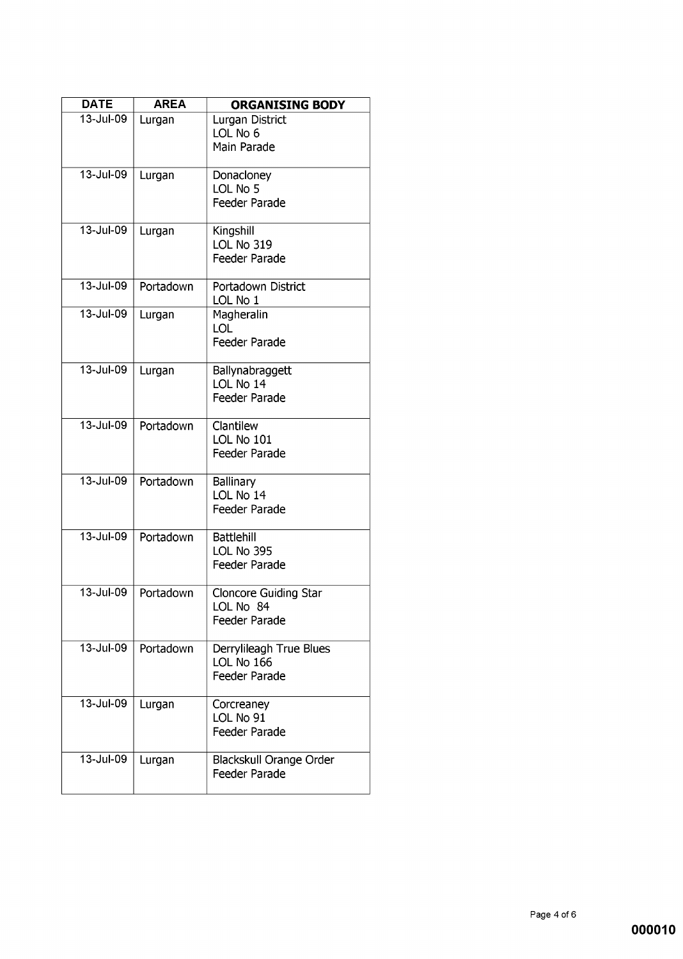| <b>DATE</b>   | <b>AREA</b> | <b>ORGANISING BODY</b>                                        |
|---------------|-------------|---------------------------------------------------------------|
| 13-Jul-09     | Lurgan      | Lurgan District<br>LOL No 6<br>Main Parade                    |
| $13 -$ Jul-09 | Lurgan      | Donacloney<br>LOL No 5<br><b>Feeder Parade</b>                |
| 13-Jul-09     | Lurgan      | Kingshill<br>LOL No 319<br><b>Feeder Parade</b>               |
| 13-Jul-09     | Portadown   | Portadown District<br>LOL No 1                                |
| 13-Jul-09     | Lurgan      | Magheralin<br>LOL<br><b>Feeder Parade</b>                     |
| $13 -$ Jul-09 | Lurgan      | Ballynabraggett<br>LOL No 14<br>Feeder Parade                 |
| 13-Jul-09     | Portadown   | Clantilew<br>LOL No 101<br>Feeder Parade                      |
| 13-Jul-09     | Portadown   | <b>Ballinary</b><br>LOL No 14<br>Feeder Parade                |
| 13-Jul-09     | Portadown   | <b>Battlehill</b><br>LOL No 395<br><b>Feeder Parade</b>       |
| $13 -$ Jul-09 | Portadown   | <b>Cloncore Guiding Star</b><br>LOL No 84<br>Feeder Parade    |
| 13-Jul-09     | Portadown   | Derrylileagh True Blues<br>LOL No 166<br><b>Feeder Parade</b> |
| 13-Jul-09     | Lurgan      | Corcreaney<br>LOL No 91<br>Feeder Parade                      |
| 13-Jul-09     | Lurgan      | Blackskull Orange Order<br>Feeder Parade                      |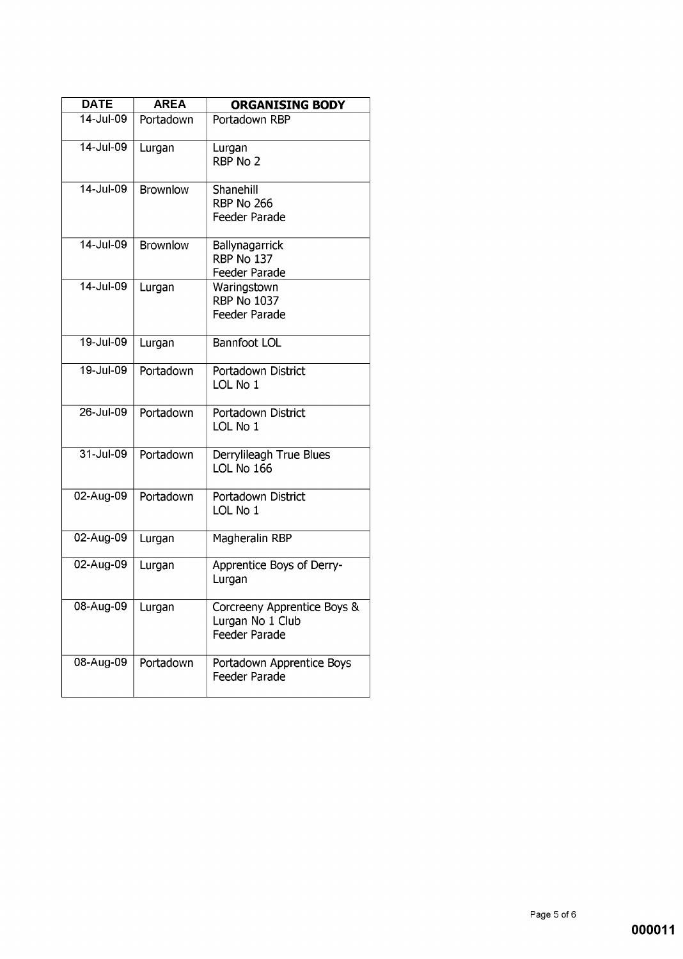| <b>DATE</b>             | <b>AREA</b>     | <b>ORGANISING BODY</b>                                           |
|-------------------------|-----------------|------------------------------------------------------------------|
| $\overline{14}$ -Jul-09 | Portadown       | Portadown RBP                                                    |
| 14-Jul-09               | Lurgan          | Lurgan<br>RBP No 2                                               |
| 14-Jul-09               | <b>Brownlow</b> | Shanehill<br><b>RBP No 266</b><br>Feeder Parade                  |
| 14-Jul-09               | <b>Brownlow</b> | Ballynagarrick<br>RBP No 137<br>Feeder Parade                    |
| 14-Jul-09               | Lurgan          | Waringstown<br><b>RBP No 1037</b><br>Feeder Parade               |
| 19-Jul-09               | Lurgan          | <b>Bannfoot LOL</b>                                              |
| 19-Jul-09               | Portadown       | Portadown District<br>LOL No 1                                   |
| 26-Jul-09               | Portadown       | Portadown District<br>LOL No 1                                   |
| $31 -$ Jul-09           | Portadown       | Derrylileagh True Blues<br>LOL No 166                            |
| 02-Aug-09               | Portadown       | Portadown District<br>LOL No 1                                   |
| 02-Aug-09               | Lurgan          | Magheralin RBP                                                   |
| 02-Aug-09               | Lurgan          | Apprentice Boys of Derry-<br>Lurgan                              |
| 08-Aug-09               | Lurgan          | Corcreeny Apprentice Boys &<br>Lurgan No 1 Club<br>Feeder Parade |
| 08-Aug-09               | Portadown       | Portadown Apprentice Boys<br>Feeder Parade                       |